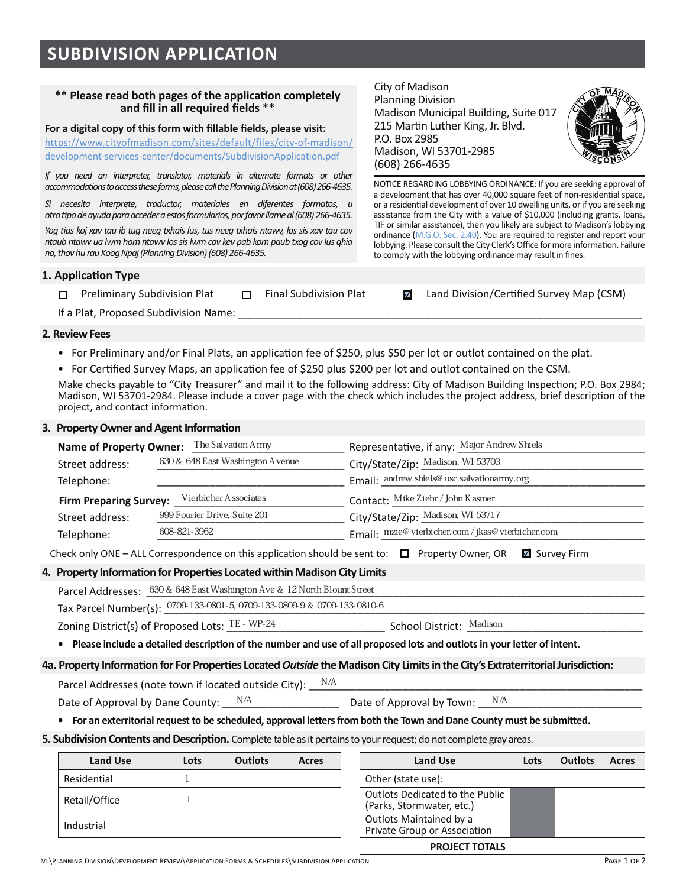# **SUBDIVISION APPLICATION**

## \*\* Please read both pages of the application completely and fill in all required fields \*\*

## For a digital copy of this form with fillable fields, please visit:

https://www.cityofmadison.com/sites/default/files/city-of-madison/ development-services-center/documents/SubdivisionApplication.pdf

*If you need an interpreter, translator, materials in alternate formats or other accommodations to access these forms, please call the Planning Division at (608) 266-4635.* 

*Si necesita interprete, traductor, materiales en diferentes formatos, u*  otro tipo de ayuda para acceder a estos formularios, por favor llame al (608) 266-4635.

*?!@\$%)-\$A!B\$C)3\$")+\$1D\$"+@\$E((@\$"CF)1-\$0+-2\$"+-\$E((@\$"CF)1-\$E")G32\$0!-\$-1-\$C)3\$")+\$,!3\$* ntaub ntawv ua lwm hom ntawv los sis lwm cov kev pab kom paub txog cov lus ghia *no, thov hu rau Koog Npaj (Planning Division) (608) 266-4635.* 

## **1. Application Type**

|                                       | □ Preliminary Subdivision Plat |  | Final Subdivision Plat |  | <b>Ø</b> Land Division/Certified Survey Map (CSM) |  |  |
|---------------------------------------|--------------------------------|--|------------------------|--|---------------------------------------------------|--|--|
| If a Dlat, Despagad Cubdivision Names |                                |  |                        |  |                                                   |  |  |

P.O. Box 2985

It a Plat. Proposed Subdivision Name:

#### **2. Review Fees**

- For Preliminary and/or Final Plats, an application fee of \$250, plus \$50 per lot or outlot contained on the plat.
- \* For Certified Survey Maps, an application fee of \$250 plus \$200 per lot and outlot contained on the CSM.

Make checks pavable to "City Treasurer" and mail it to the following address: City of Madison Building Inspection: P.O. Box 2984: Madison, WI 53701-2984. Please include a cover page with the check which includes the project address, brief description of the project, and contact information.

#### **6. Property Owner and Agent Information**

| The Salvation Army<br><b>Name of Property Owner:</b>   |                                  | Representative, if any: Major Andrew Shiels      |  |  |  |
|--------------------------------------------------------|----------------------------------|--------------------------------------------------|--|--|--|
| Street address:                                        | 630 & 648 East Washington Avenue | City/State/Zip: Madison, WI 53703                |  |  |  |
| Telephone:                                             |                                  | Email: andrew.shiels@ usc.salvationarmy.org      |  |  |  |
| Vierbicher Associates<br><b>Firm Preparing Survey:</b> |                                  | Contact: Mike Ziehr / John Kastner               |  |  |  |
| 999 Fourier Drive, Suite 201<br>Street address:        |                                  | City/State/Zip: Madison, WI 53717                |  |  |  |
| Telephone:                                             | 608-821-3962                     | Email: mzie@vierbicher.com / jkas@vierbicher.com |  |  |  |

Check only ONE – ALL Correspondence on this application should be sent to:  $\Box$  Property Owner, OR  $\Box$  Survey Firm

## 4. Property Information for Properties Located within Madison City Limits

| Parcel Addresses: 630 & 648 East Washington A ve & 12 North Blount Street |                                                                             |                          |  |  |  |  |  |
|---------------------------------------------------------------------------|-----------------------------------------------------------------------------|--------------------------|--|--|--|--|--|
|                                                                           | Tax Parcel Number(s): 0709-133-0801-5, 0709-133-0809-9 & 0709-133-0810-6    |                          |  |  |  |  |  |
|                                                                           | Zoning District(s) of Proposed Lots: $\mathrm{TE}$ - $\mathrm{WP}$ -24 $^+$ | School District: Madison |  |  |  |  |  |

**•** Please include a detailed description of the number and use of all proposed lots and outlots in your letter of intent.

#### 4a. Property Information for For Properties Located Outside the Madison City Limits in the City's Extraterritorial Jurisdiction:

Beach Modes (note town if located outside City):  $\blacksquare$ Date of Approval by Dane County:  $\frac{N/A}{A}$  Date of Approval by Town:  $\frac{N/A}{A}$ N/A Date of Approval by Town:

**•** For an exterritorial request to be scheduled, approval letters from both the Town and Dane County must be submitted.

**5. Subdivision Contents and Description.** Complete table as it pertains to your request; do not complete gray areas.

| <b>Land Use</b> | Lots | <b>Outlots</b> | Acres | <b>Land Use</b>                                              |
|-----------------|------|----------------|-------|--------------------------------------------------------------|
| Residential     |      |                |       | Other (state use):                                           |
| Retail/Office   |      |                |       | Outlots Dedicated to the Public<br>(Parks, Stormwater, etc.) |
| Industrial      |      |                |       | Outlots Maintained by a<br>Private Group or Association      |

| <b>Land Use</b> | Lots | <b>Outlots</b> | Acres | <b>Land Use</b>                                                     | Lots | <b>Outlots</b> | Acres |
|-----------------|------|----------------|-------|---------------------------------------------------------------------|------|----------------|-------|
| <b>ential</b>   |      |                |       | Other (state use):                                                  |      |                |       |
| /Office         |      |                |       | <b>Outlots Dedicated to the Public</b><br>(Parks, Stormwater, etc.) |      |                |       |
| trial           |      |                |       | Outlots Maintained by a<br>Private Group or Association             |      |                |       |
|                 |      |                |       | <b>PROJECT TOTALS</b>                                               |      |                |       |



NOTICE REGARDING LOBBYING ORDINANCE: If you are cooking approval of a development that has  $\frac{\text{d}}{24/22}$  | sidential space,  $\sigma$  a residential developmen  $4:13$  p.m.  $\sqrt{\text{D}}$  ECEIVE D  $\sigma$  are seeking assistance from the City we can experience  $\| \bigcap_{k \in \mathbb{N}} \frac{\log n}{k}$  be grants, loans, TIF or similar assistance), then you meen all  $\overline{B}$  dison's lobbying ordinance (M.G.O. Sec. 2.40). You are requestion on the port your lobbying. Please consult the City Clerk's Office tor more intormation. Failure to comply with the lobbying ordinance may result in fines.